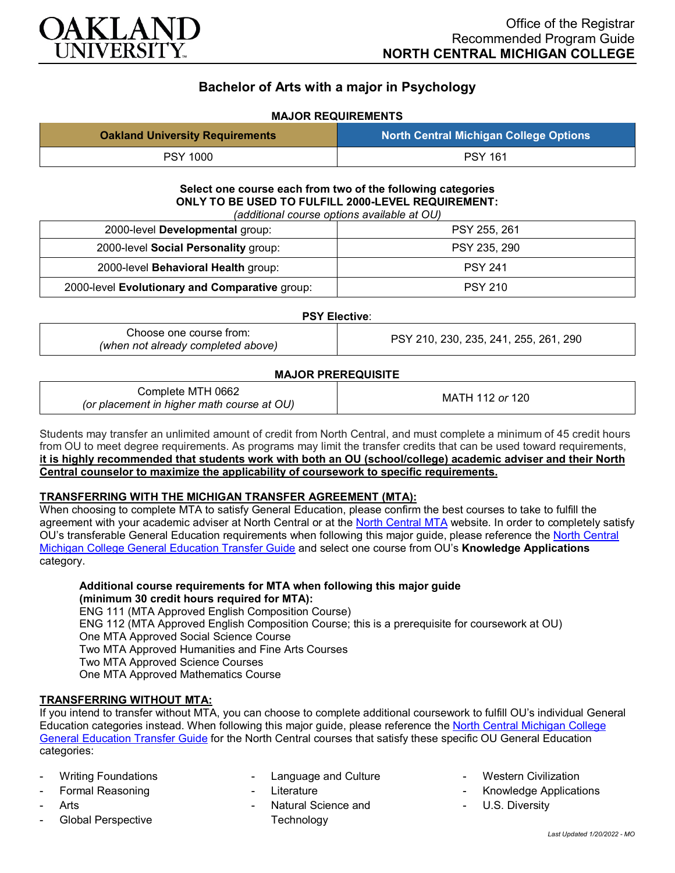

# **Bachelor of Arts with a major in Psychology**

# **MAJOR REQUIREMENTS**

| <b>Oakland University Requirements</b> | North Central Michigan College Options |
|----------------------------------------|----------------------------------------|
| <b>PSY 1000</b>                        | <b>PSY 161</b>                         |

**Select one course each from two of the following categories ONLY TO BE USED TO FULFILL 2000-LEVEL REQUIREMENT:** *(additional course options available at OU)*

| (additional course options available at OU)    |                |  |
|------------------------------------------------|----------------|--|
| 2000-level Developmental group:                | PSY 255, 261   |  |
| 2000-level Social Personality group:           | PSY 235, 290   |  |
| 2000-level Behavioral Health group:            | <b>PSY 241</b> |  |
| 2000-level Evolutionary and Comparative group: | <b>PSY 210</b> |  |

#### **PSY Elective**:

Choose one course from: *(when not already completed above)* PSY 210, 230, 235, 241, 255, 261, 290

#### **MAJOR PREREQUISITE**

| Complete MTH 0662<br>(or placement in higher math course at OU) | MATH 112 or 120 |
|-----------------------------------------------------------------|-----------------|
|-----------------------------------------------------------------|-----------------|

Students may transfer an unlimited amount of credit from North Central, and must complete a minimum of 45 credit hours from OU to meet degree requirements. As programs may limit the transfer credits that can be used toward requirements, **it is highly recommended that students work with both an OU (school/college) academic adviser and their North Central counselor to maximize the applicability of coursework to specific requirements.**

## **TRANSFERRING WITH THE MICHIGAN TRANSFER AGREEMENT (MTA):**

When choosing to complete MTA to satisfy General Education, please confirm the best courses to take to fulfill the agreement with your academic adviser at North Central or at the [North Central MTA](https://www.ncmich.edu/academics/michigan-transfer-agreement-mta.html) website. In order to completely satisfy  $\overline{O}U$ 's transferable General Education requirements when following this major guide, please reference the North Central [Michigan College General Education Transfer Guide](https://www.oakland.edu/Assets/Oakland/program-guides/north-central-michigan-college/university-general-education-requirements/North%20Central%20Michigan%20Gen%20Ed.pdf) and select one course from OU's **Knowledge Applications** category.

# **Additional course requirements for MTA when following this major guide (minimum 30 credit hours required for MTA):**

ENG 111 (MTA Approved English Composition Course) ENG 112 (MTA Approved English Composition Course; this is a prerequisite for coursework at OU) One MTA Approved Social Science Course Two MTA Approved Humanities and Fine Arts Courses Two MTA Approved Science Courses One MTA Approved Mathematics Course

## **TRANSFERRING WITHOUT MTA:**

If you intend to transfer without MTA, you can choose to complete additional coursework to fulfill OU's individual General Education categories instead. When following this major guide, please reference the [North Central Michigan College](https://www.oakland.edu/Assets/Oakland/program-guides/north-central-michigan-college/university-general-education-requirements/North%20Central%20Michigan%20Gen%20Ed.pdf)  [General Education Transfer Guide](https://www.oakland.edu/Assets/Oakland/program-guides/north-central-michigan-college/university-general-education-requirements/North%20Central%20Michigan%20Gen%20Ed.pdf) for the North Central courses that satisfy these specific OU General Education categories:

- **Writing Foundations**
- Formal Reasoning
- **Arts**
- Global Perspective
- Language and Culture
- **Literature**
- Natural Science and **Technology**
- **Western Civilization**
- Knowledge Applications
- U.S. Diversity